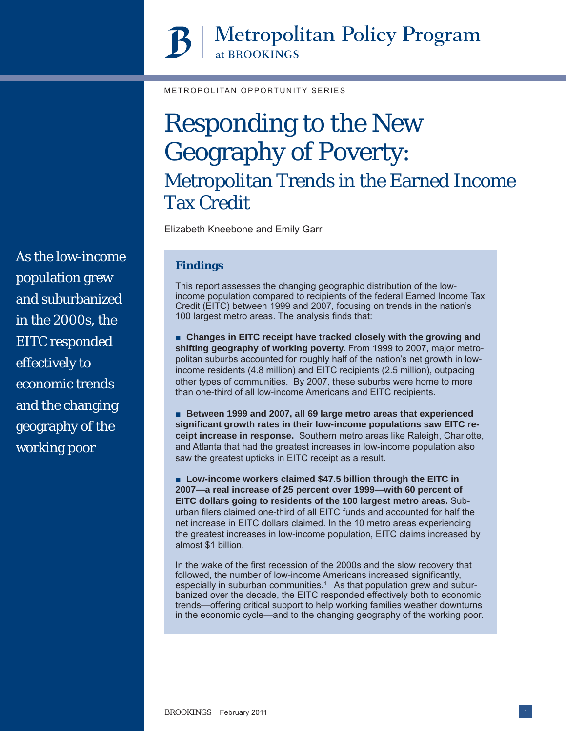# **Metropolitan Policy Program** at BROOKINGS

METROPOLITAN OPPORTUNITY SERIES

# Responding to the New Geography of Poverty: Metropolitan Trends in the Earned Income Tax Credit

Elizabeth Kneebone and Emily Garr

# **Findings**

This report assesses the changing geographic distribution of the lowincome population compared to recipients of the federal Earned Income Tax Credit (EITC) between 1999 and 2007, focusing on trends in the nation's 100 largest metro areas. The analysis finds that:

■ Changes in EITC receipt have tracked closely with the growing and **shifting geography of working poverty.** From 1999 to 2007, major metropolitan suburbs accounted for roughly half of the nation's net growth in lowincome residents (4.8 million) and EITC recipients (2.5 million), outpacing other types of communities. By 2007, these suburbs were home to more than one-third of all low-income Americans and EITC recipients.

■ **Between 1999 and 2007, all 69 large metro areas that experienced signifi cant growth rates in their low-income populations saw EITC receipt increase in response.** Southern metro areas like Raleigh, Charlotte, and Atlanta that had the greatest increases in low-income population also saw the greatest upticks in EITC receipt as a result.

■ Low-income workers claimed \$47.5 billion through the EITC in **2007—a real increase of 25 percent over 1999—with 60 percent of EITC dollars going to residents of the 100 largest metro areas.** Suburban filers claimed one-third of all EITC funds and accounted for half the net increase in EITC dollars claimed. In the 10 metro areas experiencing the greatest increases in low-income population, EITC claims increased by almost \$1 billion.

In the wake of the first recession of the 2000s and the slow recovery that followed, the number of low-income Americans increased significantly, especially in suburban communities.<sup>1</sup> As that population grew and suburbanized over the decade, the EITC responded effectively both to economic trends—offering critical support to help working families weather downturns in the economic cycle—and to the changing geography of the working poor.

As the low-income population grew and suburbanized in the 2000s, the EITC responded effectively to economic trends and the changing geography of the working poor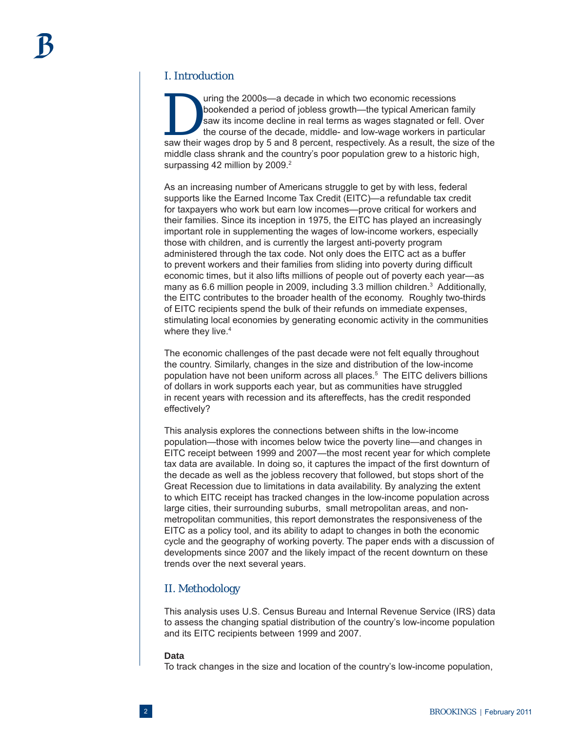### I. Introduction

I uring the 2000s—a decade in which two economic recessions<br>bookended a period of jobless growth—the typical American fa<br>saw its income decline in real terms as wages stagnated or fell<br>the course of the decade, middle- and bookended a period of jobless growth—the typical American family saw its income decline in real terms as wages stagnated or fell. Over the course of the decade, middle- and low-wage workers in particular saw their wages drop by 5 and 8 percent, respectively. As a result, the size of the middle class shrank and the country's poor population grew to a historic high, surpassing 42 million by 2009. $2$ 

As an increasing number of Americans struggle to get by with less, federal supports like the Earned Income Tax Credit (EITC)—a refundable tax credit for taxpayers who work but earn low incomes—prove critical for workers and their families. Since its inception in 1975, the EITC has played an increasingly important role in supplementing the wages of low-income workers, especially those with children, and is currently the largest anti-poverty program administered through the tax code. Not only does the EITC act as a buffer to prevent workers and their families from sliding into poverty during difficult economic times, but it also lifts millions of people out of poverty each year—as many as 6.6 million people in 2009, including 3.3 million children.<sup>3</sup> Additionally, the EITC contributes to the broader health of the economy. Roughly two-thirds of EITC recipients spend the bulk of their refunds on immediate expenses, stimulating local economies by generating economic activity in the communities where they live.<sup>4</sup>

The economic challenges of the past decade were not felt equally throughout the country. Similarly, changes in the size and distribution of the low-income population have not been uniform across all places.<sup>5</sup> The EITC delivers billions of dollars in work supports each year, but as communities have struggled in recent years with recession and its aftereffects, has the credit responded effectively?

This analysis explores the connections between shifts in the low-income population—those with incomes below twice the poverty line—and changes in EITC receipt between 1999 and 2007—the most recent year for which complete tax data are available. In doing so, it captures the impact of the first downturn of the decade as well as the jobless recovery that followed, but stops short of the Great Recession due to limitations in data availability. By analyzing the extent to which EITC receipt has tracked changes in the low-income population across large cities, their surrounding suburbs, small metropolitan areas, and nonmetropolitan communities, this report demonstrates the responsiveness of the EITC as a policy tool, and its ability to adapt to changes in both the economic cycle and the geography of working poverty. The paper ends with a discussion of developments since 2007 and the likely impact of the recent downturn on these trends over the next several years.

#### II. Methodology

This analysis uses U.S. Census Bureau and Internal Revenue Service (IRS) data to assess the changing spatial distribution of the country's low-income population and its EITC recipients between 1999 and 2007.

#### **Data**

To track changes in the size and location of the country's low-income population,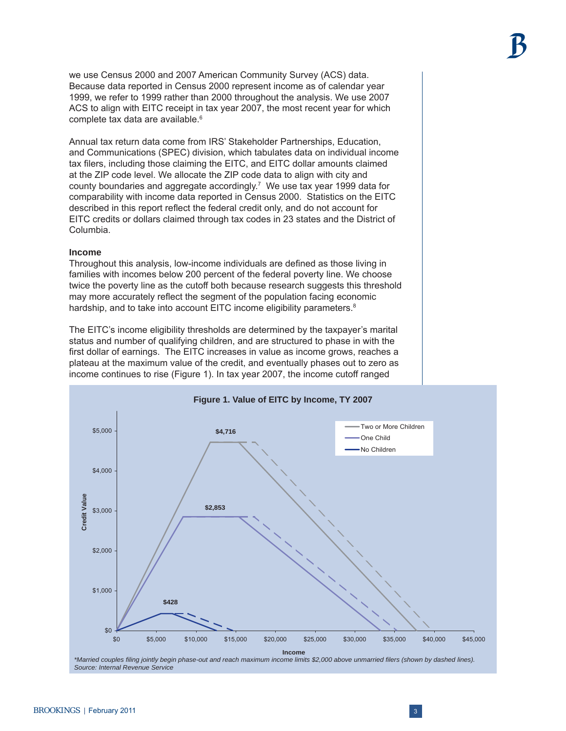we use Census 2000 and 2007 American Community Survey (ACS) data. Because data reported in Census 2000 represent income as of calendar year 1999, we refer to 1999 rather than 2000 throughout the analysis. We use 2007 ACS to align with EITC receipt in tax year 2007, the most recent year for which complete tax data are available.<sup>6</sup>

Annual tax return data come from IRS' Stakeholder Partnerships, Education, and Communications (SPEC) division, which tabulates data on individual income tax filers, including those claiming the EITC, and EITC dollar amounts claimed at the ZIP code level. We allocate the ZIP code data to align with city and county boundaries and aggregate accordingly.7 We use tax year 1999 data for comparability with income data reported in Census 2000. Statistics on the EITC described in this report reflect the federal credit only, and do not account for EITC credits or dollars claimed through tax codes in 23 states and the District of Columbia.

#### **Income**

Throughout this analysis, low-income individuals are defined as those living in families with incomes below 200 percent of the federal poverty line. We choose twice the poverty line as the cutoff both because research suggests this threshold may more accurately reflect the segment of the population facing economic hardship, and to take into account EITC income eligibility parameters.<sup>8</sup>

The EITC's income eligibility thresholds are determined by the taxpayer's marital status and number of qualifying children, and are structured to phase in with the first dollar of earnings. The EITC increases in value as income grows, reaches a plateau at the maximum value of the credit, and eventually phases out to zero as income continues to rise (Figure 1). In tax year 2007, the income cutoff ranged



BROOKINGS | February 2011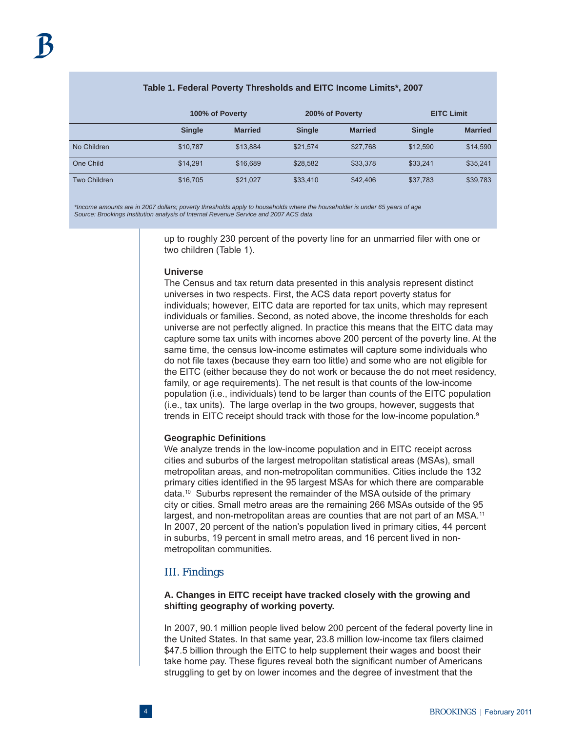# **100% of Poverty 200% of Poverty EITC Limit Single Married Single Married Single Married** No Children \$10,787 \$13,884 \$21,574 \$27,768 \$12,590 \$14,590 One Child \$14,291 \$16,689 \$28,582 \$33,378 \$33,241 \$35,241 Two Children \$16,705 \$21,027 \$33,410 \$42,406 \$37,783 \$39,783

#### **Table 1. Federal Poverty Thresholds and EITC Income Limits\*, 2007**

 *\*Income amounts are in 2007 dollars; poverty thresholds apply to households where the householder is under 65 years of age Source: Brookings Institution analysis of Internal Revenue Service and 2007 ACS data*

> up to roughly 230 percent of the poverty line for an unmarried filer with one or two children (Table 1).

#### **Universe**

The Census and tax return data presented in this analysis represent distinct universes in two respects. First, the ACS data report poverty status for individuals; however, EITC data are reported for tax units, which may represent individuals or families. Second, as noted above, the income thresholds for each universe are not perfectly aligned. In practice this means that the EITC data may capture some tax units with incomes above 200 percent of the poverty line. At the same time, the census low-income estimates will capture some individuals who do not file taxes (because they earn too little) and some who are not eligible for the EITC (either because they do not work or because the do not meet residency, family, or age requirements). The net result is that counts of the low-income population (i.e., individuals) tend to be larger than counts of the EITC population (i.e., tax units). The large overlap in the two groups, however, suggests that trends in EITC receipt should track with those for the low-income population.9

#### **Geographic Defi nitions**

We analyze trends in the low-income population and in EITC receipt across cities and suburbs of the largest metropolitan statistical areas (MSAs), small metropolitan areas, and non-metropolitan communities. Cities include the 132 primary cities identified in the 95 largest MSAs for which there are comparable data.10 Suburbs represent the remainder of the MSA outside of the primary city or cities. Small metro areas are the remaining 266 MSAs outside of the 95 largest, and non-metropolitan areas are counties that are not part of an MSA.<sup>11</sup> In 2007, 20 percent of the nation's population lived in primary cities, 44 percent in suburbs, 19 percent in small metro areas, and 16 percent lived in nonmetropolitan communities.

#### III. Findings

#### **A. Changes in EITC receipt have tracked closely with the growing and shifting geography of working poverty.**

In 2007, 90.1 million people lived below 200 percent of the federal poverty line in the United States. In that same year, 23.8 million low-income tax filers claimed \$47.5 billion through the EITC to help supplement their wages and boost their take home pay. These figures reveal both the significant number of Americans struggling to get by on lower incomes and the degree of investment that the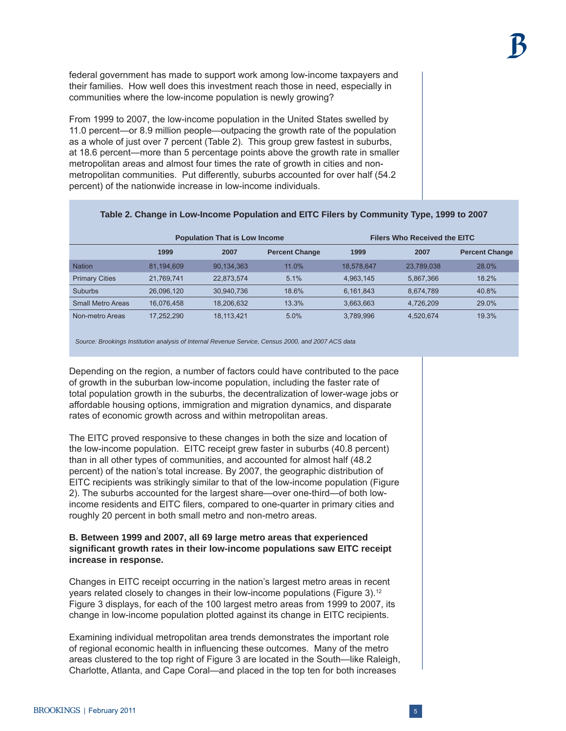federal government has made to support work among low-income taxpayers and their families. How well does this investment reach those in need, especially in communities where the low-income population is newly growing?

From 1999 to 2007, the low-income population in the United States swelled by 11.0 percent—or 8.9 million people—outpacing the growth rate of the population as a whole of just over 7 percent (Table 2). This group grew fastest in suburbs, at 18.6 percent—more than 5 percentage points above the growth rate in smaller metropolitan areas and almost four times the rate of growth in cities and nonmetropolitan communities. Put differently, suburbs accounted for over half (54.2 percent) of the nationwide increase in low-income individuals.

|                          | <b>Population That is Low Income</b> |            |                       | <b>Filers Who Received the EITC</b> |            |                       |
|--------------------------|--------------------------------------|------------|-----------------------|-------------------------------------|------------|-----------------------|
|                          | 1999                                 | 2007       | <b>Percent Change</b> | 1999                                | 2007       | <b>Percent Change</b> |
| <b>Nation</b>            | 81.194.609                           | 90.134.363 | 11.0%                 | 18.578.647                          | 23.789.038 | 28.0%                 |
| <b>Primary Cities</b>    | 21.769.741                           | 22,873,574 | 5.1%                  | 4,963,145                           | 5.867.366  | 18.2%                 |
| <b>Suburbs</b>           | 26.096.120                           | 30.940.736 | 18.6%                 | 6,161,843                           | 8.674.789  | 40.8%                 |
| <b>Small Metro Areas</b> | 16.076.458                           | 18.206.632 | 13.3%                 | 3,663,663                           | 4,726,209  | 29.0%                 |
| Non-metro Areas          | 17.252.290                           | 18.113.421 | 5.0%                  | 3.789.996                           | 4.520.674  | 19.3%                 |

# **Table 2. Change in Low-Income Population and EITC Filers by Community Type, 1999 to 2007**

 *Source: Brookings Institution analysis of Internal Revenue Service, Census 2000, and 2007 ACS data*

Depending on the region, a number of factors could have contributed to the pace of growth in the suburban low-income population, including the faster rate of total population growth in the suburbs, the decentralization of lower-wage jobs or affordable housing options, immigration and migration dynamics, and disparate rates of economic growth across and within metropolitan areas.

The EITC proved responsive to these changes in both the size and location of the low-income population. EITC receipt grew faster in suburbs (40.8 percent) than in all other types of communities, and accounted for almost half (48.2 percent) of the nation's total increase. By 2007, the geographic distribution of EITC recipients was strikingly similar to that of the low-income population (Figure 2). The suburbs accounted for the largest share—over one-third—of both lowincome residents and EITC filers, compared to one-quarter in primary cities and roughly 20 percent in both small metro and non-metro areas.

#### **B. Between 1999 and 2007, all 69 large metro areas that experienced signifi cant growth rates in their low-income populations saw EITC receipt increase in response.**

Changes in EITC receipt occurring in the nation's largest metro areas in recent years related closely to changes in their low-income populations (Figure 3).<sup>12</sup> Figure 3 displays, for each of the 100 largest metro areas from 1999 to 2007, its change in low-income population plotted against its change in EITC recipients.

Examining individual metropolitan area trends demonstrates the important role of regional economic health in influencing these outcomes. Many of the metro areas clustered to the top right of Figure 3 are located in the South—like Raleigh, Charlotte, Atlanta, and Cape Coral—and placed in the top ten for both increases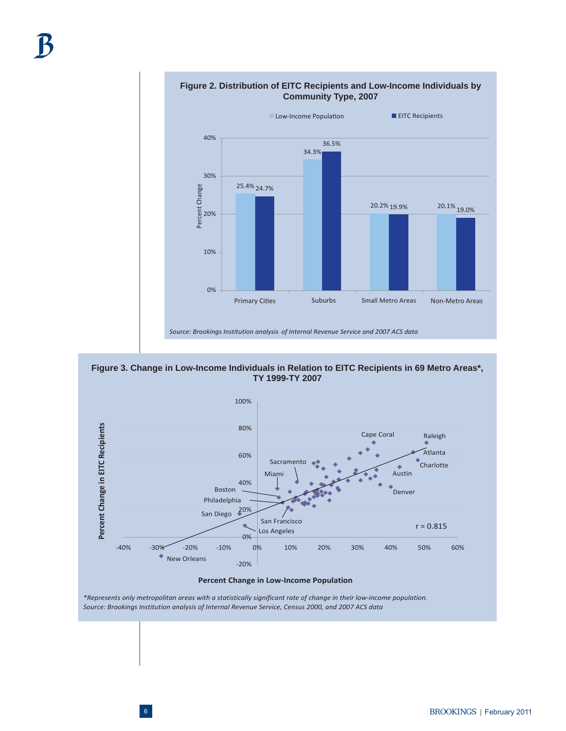



**Figure 3. Change in Low-Income Individuals in Relation to EITC Recipients in 69 Metro Areas\*, TY 1999-TY 2007**



**Percent Change in Low-Income Population** 

\*Represents only metropolitan areas with a statistically significant rate of change in their low-income population. *Source: Brookings Institution analysis of Internal Revenue Service, Census 2000, and 2007 ACS data*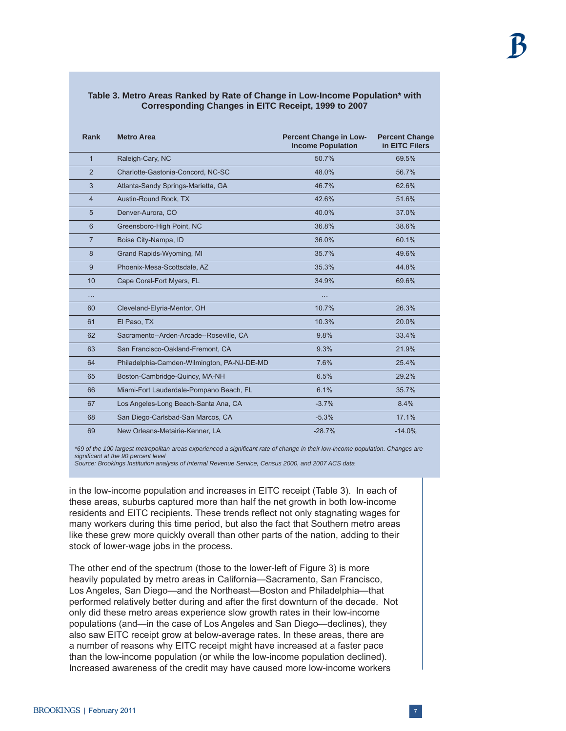| Rank           | <b>Metro Area</b>                           | <b>Percent Change in Low-</b><br><b>Income Population</b> | <b>Percent Change</b><br>in EITC Filers |
|----------------|---------------------------------------------|-----------------------------------------------------------|-----------------------------------------|
| $\mathbf{1}$   | Raleigh-Cary, NC                            | 50.7%                                                     | 69.5%                                   |
| $\overline{2}$ | Charlotte-Gastonia-Concord, NC-SC           | 48.0%                                                     | 56.7%                                   |
| 3              | Atlanta-Sandy Springs-Marietta, GA          | 46.7%                                                     | 62.6%                                   |
| $\overline{4}$ | Austin-Round Rock, TX                       | 42.6%                                                     | 51.6%                                   |
| 5              | Denver-Aurora, CO                           | 40.0%                                                     | 37.0%                                   |
| $6\phantom{1}$ | Greensboro-High Point, NC                   | 36.8%                                                     | 38.6%                                   |
| $\overline{7}$ | Boise City-Nampa, ID                        | 36.0%                                                     | 60.1%                                   |
| 8              | Grand Rapids-Wyoming, MI                    | 35.7%                                                     | 49.6%                                   |
| 9              | Phoenix-Mesa-Scottsdale, AZ                 | 35.3%                                                     | 44.8%                                   |
| 10             | Cape Coral-Fort Myers, FL                   | 34.9%                                                     | 69.6%                                   |
| .              |                                             | .                                                         |                                         |
| 60             | Cleveland-Elyria-Mentor, OH                 | 10.7%                                                     | 26.3%                                   |
| 61             | El Paso, TX                                 | 10.3%                                                     | 20.0%                                   |
| 62             | Sacramento--Arden-Arcade--Roseville, CA     | 9.8%                                                      | 33.4%                                   |
| 63             | San Francisco-Oakland-Fremont, CA           | 9.3%                                                      | 21.9%                                   |
| 64             | Philadelphia-Camden-Wilmington, PA-NJ-DE-MD | 7.6%                                                      | 25.4%                                   |
| 65             | Boston-Cambridge-Quincy, MA-NH              | 6.5%                                                      | 29.2%                                   |
| 66             | Miami-Fort Lauderdale-Pompano Beach, FL     | 6.1%                                                      | 35.7%                                   |
| 67             | Los Angeles-Long Beach-Santa Ana, CA        | $-3.7%$                                                   | 8.4%                                    |
| 68             | San Diego-Carlsbad-San Marcos, CA           | $-5.3%$                                                   | 17.1%                                   |
| 69             | New Orleans-Metairie-Kenner, LA             | $-28.7%$                                                  | $-14.0%$                                |

#### **Table 3. Metro Areas Ranked by Rate of Change in Low-Income Population\* with Corresponding Changes in EITC Receipt, 1999 to 2007**

*\*69 of the 100 largest metropolitan areas experienced a signifi cant rate of change in their low-income population. Changes are signifi cant at the 90 percent level*

*Source: Brookings Institution analysis of Internal Revenue Service, Census 2000, and 2007 ACS data*

in the low-income population and increases in EITC receipt (Table 3). In each of these areas, suburbs captured more than half the net growth in both low-income residents and EITC recipients. These trends reflect not only stagnating wages for many workers during this time period, but also the fact that Southern metro areas like these grew more quickly overall than other parts of the nation, adding to their stock of lower-wage jobs in the process.

The other end of the spectrum (those to the lower-left of Figure 3) is more heavily populated by metro areas in California—Sacramento, San Francisco, Los Angeles, San Diego—and the Northeast—Boston and Philadelphia—that performed relatively better during and after the first downturn of the decade. Not only did these metro areas experience slow growth rates in their low-income populations (and—in the case of Los Angeles and San Diego—declines), they also saw EITC receipt grow at below-average rates. In these areas, there are a number of reasons why EITC receipt might have increased at a faster pace than the low-income population (or while the low-income population declined). Increased awareness of the credit may have caused more low-income workers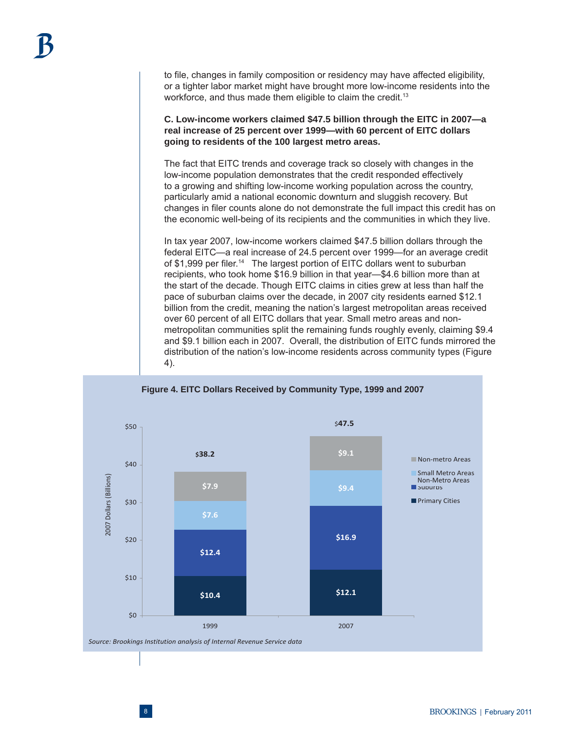to file, changes in family composition or residency may have affected eligibility, or a tighter labor market might have brought more low-income residents into the workforce, and thus made them eligible to claim the credit.<sup>13</sup>

**C. Low-income workers claimed \$47.5 billion through the EITC in 2007—a real increase of 25 percent over 1999—with 60 percent of EITC dollars going to residents of the 100 largest metro areas.**

The fact that EITC trends and coverage track so closely with changes in the low-income population demonstrates that the credit responded effectively to a growing and shifting low-income working population across the country, particularly amid a national economic downturn and sluggish recovery. But changes in filer counts alone do not demonstrate the full impact this credit has on the economic well-being of its recipients and the communities in which they live.

In tax year 2007, low-income workers claimed \$47.5 billion dollars through the federal EITC—a real increase of 24.5 percent over 1999—for an average credit of \$1,999 per filer.<sup>14</sup> The largest portion of EITC dollars went to suburban recipients, who took home \$16.9 billion in that year—\$4.6 billion more than at the start of the decade. Though EITC claims in cities grew at less than half the pace of suburban claims over the decade, in 2007 city residents earned \$12.1 billion from the credit, meaning the nation's largest metropolitan areas received over 60 percent of all EITC dollars that year. Small metro areas and nonmetropolitan communities split the remaining funds roughly evenly, claiming \$9.4 and \$9.1 billion each in 2007. Overall, the distribution of EITC funds mirrored the distribution of the nation's low-income residents across community types (Figure 4).

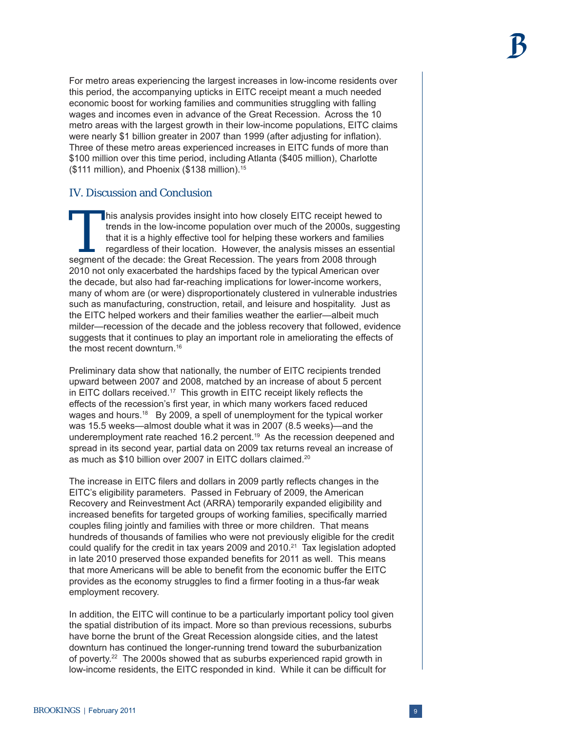For metro areas experiencing the largest increases in low-income residents over this period, the accompanying upticks in EITC receipt meant a much needed economic boost for working families and communities struggling with falling wages and incomes even in advance of the Great Recession. Across the 10 metro areas with the largest growth in their low-income populations, EITC claims were nearly \$1 billion greater in 2007 than 1999 (after adjusting for inflation). Three of these metro areas experienced increases in EITC funds of more than \$100 million over this time period, including Atlanta (\$405 million), Charlotte (\$111 million), and Phoenix (\$138 million).15

# IV. Discussion and Conclusion

This analysis provides insight into how closely EITC receipt hewed to trends in the low-income population over much of the 2000s, sugges that it is a highly effective tool for helping these workers and families regardless trends in the low-income population over much of the 2000s, suggesting that it is a highly effective tool for helping these workers and families regardless of their location. However, the analysis misses an essential segment of the decade: the Great Recession. The years from 2008 through 2010 not only exacerbated the hardships faced by the typical American over the decade, but also had far-reaching implications for lower-income workers, many of whom are (or were) disproportionately clustered in vulnerable industries such as manufacturing, construction, retail, and leisure and hospitality. Just as the EITC helped workers and their families weather the earlier—albeit much milder—recession of the decade and the jobless recovery that followed, evidence suggests that it continues to play an important role in ameliorating the effects of the most recent downturn.<sup>16</sup>

Preliminary data show that nationally, the number of EITC recipients trended upward between 2007 and 2008, matched by an increase of about 5 percent in EITC dollars received.<sup>17</sup> This growth in EITC receipt likely reflects the effects of the recession's first year, in which many workers faced reduced wages and hours.<sup>18</sup> By 2009, a spell of unemployment for the typical worker was 15.5 weeks—almost double what it was in 2007 (8.5 weeks)—and the underemployment rate reached 16.2 percent.<sup>19</sup> As the recession deepened and spread in its second year, partial data on 2009 tax returns reveal an increase of as much as \$10 billion over 2007 in EITC dollars claimed.20

The increase in EITC filers and dollars in 2009 partly reflects changes in the EITC's eligibility parameters. Passed in February of 2009, the American Recovery and Reinvestment Act (ARRA) temporarily expanded eligibility and increased benefits for targeted groups of working families, specifically married couples filing jointly and families with three or more children. That means hundreds of thousands of families who were not previously eligible for the credit could qualify for the credit in tax years 2009 and  $2010.<sup>21</sup>$  Tax legislation adopted in late 2010 preserved those expanded benefits for 2011 as well. This means that more Americans will be able to benefit from the economic buffer the EITC provides as the economy struggles to find a firmer footing in a thus-far weak employment recovery.

In addition, the EITC will continue to be a particularly important policy tool given the spatial distribution of its impact. More so than previous recessions, suburbs have borne the brunt of the Great Recession alongside cities, and the latest downturn has continued the longer-running trend toward the suburbanization of poverty.22 The 2000s showed that as suburbs experienced rapid growth in low-income residents, the EITC responded in kind. While it can be difficult for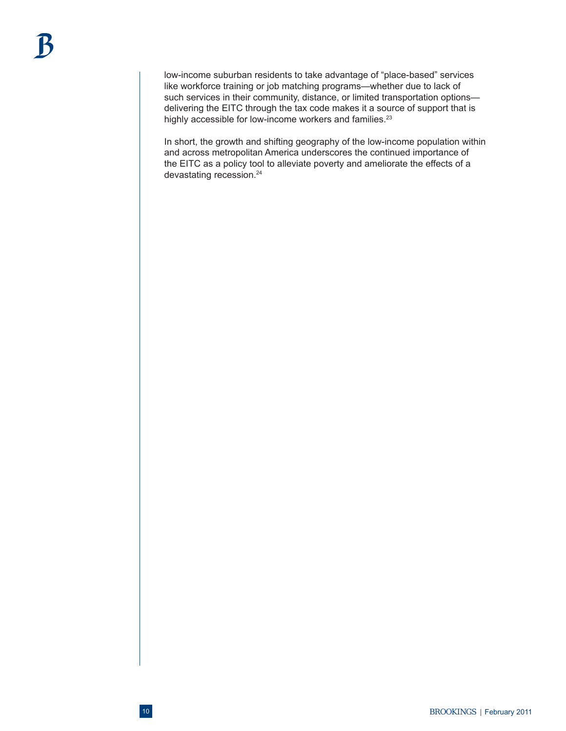low-income suburban residents to take advantage of "place-based" services like workforce training or job matching programs—whether due to lack of such services in their community, distance, or limited transportation options delivering the EITC through the tax code makes it a source of support that is highly accessible for low-income workers and families.<sup>23</sup>

In short, the growth and shifting geography of the low-income population within and across metropolitan America underscores the continued importance of the EITC as a policy tool to alleviate poverty and ameliorate the effects of a devastating recession.<sup>24</sup>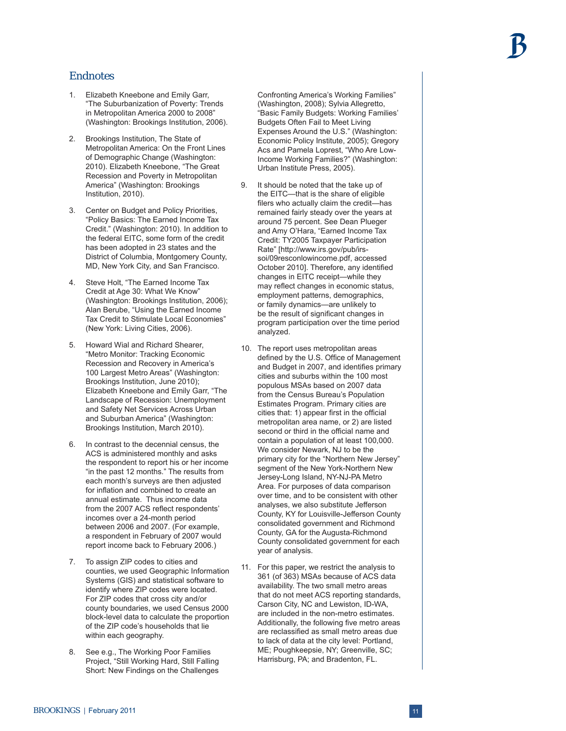# Endnotes

- 1. Elizabeth Kneebone and Emily Garr, "The Suburbanization of Poverty: Trends in Metropolitan America 2000 to 2008" (Washington: Brookings Institution, 2006).
- 2. Brookings Institution, The State of Metropolitan America: On the Front Lines of Demographic Change (Washington: 2010). Elizabeth Kneebone, "The Great Recession and Poverty in Metropolitan America" (Washington: Brookings Institution, 2010).
- 3. Center on Budget and Policy Priorities, "Policy Basics: The Earned Income Tax Credit." (Washington: 2010). In addition to the federal EITC, some form of the credit has been adopted in 23 states and the District of Columbia, Montgomery County, MD, New York City, and San Francisco.
- 4. Steve Holt, "The Earned Income Tax Credit at Age 30: What We Know" (Washington: Brookings Institution, 2006); Alan Berube, "Using the Earned Income Tax Credit to Stimulate Local Economies" (New York: Living Cities, 2006).
- 5. Howard Wial and Richard Shearer, "Metro Monitor: Tracking Economic Recession and Recovery in America's 100 Largest Metro Areas" (Washington: Brookings Institution, June 2010); Elizabeth Kneebone and Emily Garr, "The Landscape of Recession: Unemployment and Safety Net Services Across Urban and Suburban America" (Washington: Brookings Institution, March 2010).
- 6. In contrast to the decennial census, the ACS is administered monthly and asks the respondent to report his or her income "in the past 12 months." The results from each month's surveys are then adjusted for inflation and combined to create an annual estimate. Thus income data from the 2007 ACS reflect respondents' incomes over a 24-month period between 2006 and 2007. (For example, a respondent in February of 2007 would report income back to February 2006.)
- 7. To assign ZIP codes to cities and counties, we used Geographic Information Systems (GIS) and statistical software to identify where ZIP codes were located. For ZIP codes that cross city and/or county boundaries, we used Census 2000 block-level data to calculate the proportion of the ZIP code's households that lie within each geography.
- 8. See e.g., The Working Poor Families Project, "Still Working Hard, Still Falling Short: New Findings on the Challenges

Confronting America's Working Families" (Washington, 2008); Sylvia Allegretto, "Basic Family Budgets: Working Families' Budgets Often Fail to Meet Living Expenses Around the U.S." (Washington: Economic Policy Institute, 2005); Gregory Acs and Pamela Loprest, "Who Are Low-Income Working Families?" (Washington: Urban Institute Press, 2005).

- 9. It should be noted that the take up of the EITC—that is the share of eligible filers who actually claim the credit-has remained fairly steady over the years at around 75 percent. See Dean Plueger and Amy O'Hara, "Earned Income Tax Credit: TY2005 Taxpayer Participation Rate" [http://www.irs.gov/pub/irssoi/09resconlowincome.pdf, accessed October 2010]. Therefore, any identified changes in EITC receipt—while they may reflect changes in economic status. employment patterns, demographics, or family dynamics—are unlikely to be the result of significant changes in program participation over the time period analyzed.
- 10. The report uses metropolitan areas defined by the U.S. Office of Management and Budget in 2007, and identifies primary cities and suburbs within the 100 most populous MSAs based on 2007 data from the Census Bureau's Population Estimates Program. Primary cities are cities that: 1) appear first in the official metropolitan area name, or 2) are listed second or third in the official name and contain a population of at least 100,000. We consider Newark, NJ to be the primary city for the "Northern New Jersey" segment of the New York-Northern New Jersey-Long Island, NY-NJ-PA Metro Area. For purposes of data comparison over time, and to be consistent with other analyses, we also substitute Jefferson County, KY for Louisville-Jefferson County consolidated government and Richmond County, GA for the Augusta-Richmond County consolidated government for each year of analysis.
- 11. For this paper, we restrict the analysis to 361 (of 363) MSAs because of ACS data availability. The two small metro areas that do not meet ACS reporting standards, Carson City, NC and Lewiston, ID-WA, are included in the non-metro estimates. Additionally, the following five metro areas are reclassified as small metro areas due to lack of data at the city level: Portland, ME; Poughkeepsie, NY; Greenville, SC; Harrisburg, PA; and Bradenton, FL.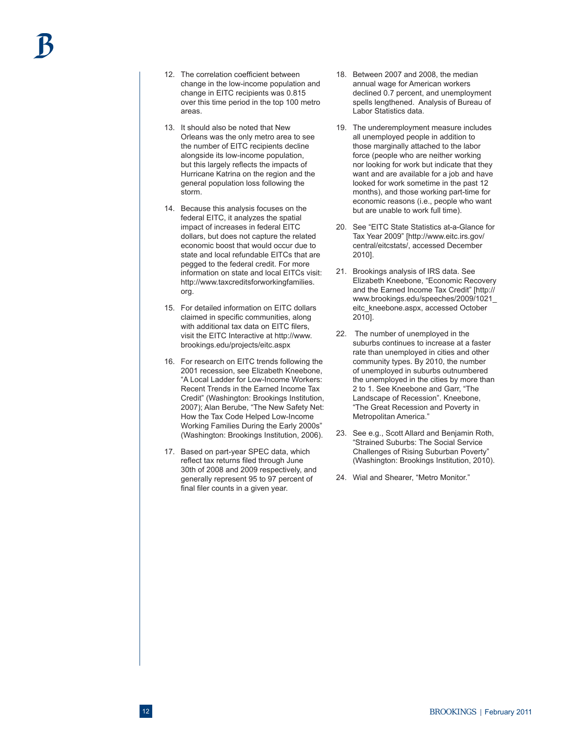- 12. The correlation coefficient between change in the low-income population and change in EITC recipients was 0.815 over this time period in the top 100 metro areas.
- 13. It should also be noted that New Orleans was the only metro area to see the number of EITC recipients decline alongside its low-income population, but this largely reflects the impacts of Hurricane Katrina on the region and the general population loss following the storm.
- 14. Because this analysis focuses on the federal EITC, it analyzes the spatial impact of increases in federal EITC dollars, but does not capture the related economic boost that would occur due to state and local refundable EITCs that are pegged to the federal credit. For more information on state and local EITCs visit: http://www.taxcreditsforworkingfamilies. org.
- 15. For detailed information on EITC dollars claimed in specific communities, along with additional tax data on EITC filers, visit the EITC Interactive at http://www. brookings.edu/projects/eitc.aspx
- 16. For research on EITC trends following the 2001 recession, see Elizabeth Kneebone, "A Local Ladder for Low-Income Workers: Recent Trends in the Earned Income Tax Credit" (Washington: Brookings Institution, 2007); Alan Berube, "The New Safety Net: How the Tax Code Helped Low-Income Working Families During the Early 2000s" (Washington: Brookings Institution, 2006).
- 17. Based on part-year SPEC data, which reflect tax returns filed through June 30th of 2008 and 2009 respectively, and generally represent 95 to 97 percent of final filer counts in a given year.
- 18. Between 2007 and 2008, the median annual wage for American workers declined 0.7 percent, and unemployment spells lengthened. Analysis of Bureau of Labor Statistics data.
- 19. The underemployment measure includes all unemployed people in addition to those marginally attached to the labor force (people who are neither working nor looking for work but indicate that they want and are available for a job and have looked for work sometime in the past 12 months), and those working part-time for economic reasons (i.e., people who want but are unable to work full time).
- 20. See "EITC State Statistics at-a-Glance for Tax Year 2009" [http://www.eitc.irs.gov/ central/eitcstats/, accessed December 2010].
- 21. Brookings analysis of IRS data. See Elizabeth Kneebone, "Economic Recovery and the Earned Income Tax Credit" [http:// www.brookings.edu/speeches/2009/1021\_ eitc\_kneebone.aspx, accessed October 2010].
- 22. The number of unemployed in the suburbs continues to increase at a faster rate than unemployed in cities and other community types. By 2010, the number of unemployed in suburbs outnumbered the unemployed in the cities by more than 2 to 1. See Kneebone and Garr, "The Landscape of Recession". Kneebone, "The Great Recession and Poverty in Metropolitan America."
- 23. See e.g., Scott Allard and Benjamin Roth, "Strained Suburbs: The Social Service Challenges of Rising Suburban Poverty" (Washington: Brookings Institution, 2010).
- 24. Wial and Shearer, "Metro Monitor."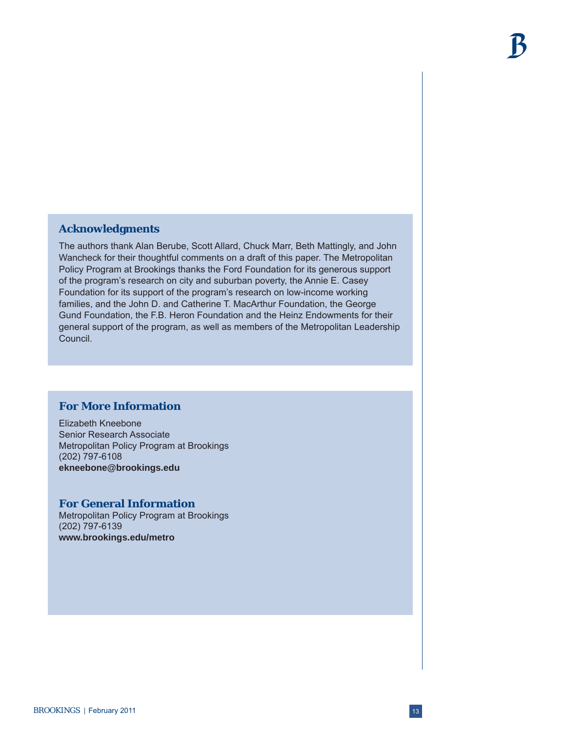# **Acknowledgments**

The authors thank Alan Berube, Scott Allard, Chuck Marr, Beth Mattingly, and John Wancheck for their thoughtful comments on a draft of this paper. The Metropolitan Policy Program at Brookings thanks the Ford Foundation for its generous support of the program's research on city and suburban poverty, the Annie E. Casey Foundation for its support of the program's research on low-income working families, and the John D. and Catherine T. MacArthur Foundation, the George Gund Foundation, the F.B. Heron Foundation and the Heinz Endowments for their general support of the program, as well as members of the Metropolitan Leadership Council.

# **For More Information**

Elizabeth Kneebone Senior Research Associate Metropolitan Policy Program at Brookings (202) 797-6108 **ekneebone@brookings.edu**

#### **For General Information**

Metropolitan Policy Program at Brookings (202) 797-6139 **www.brookings.edu/metro**